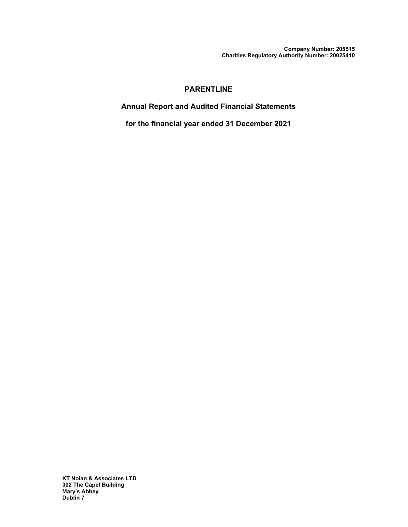Company Number: 205515 Charities Regulatory Authority Number: 20025410

# PARENTLINE

# Annual Report and Audited Financial Statements

for the financial year ended 31 December 2021

KT Nolan & Associates LTD 302 The Capel Building Mary's Abbey Dublin 7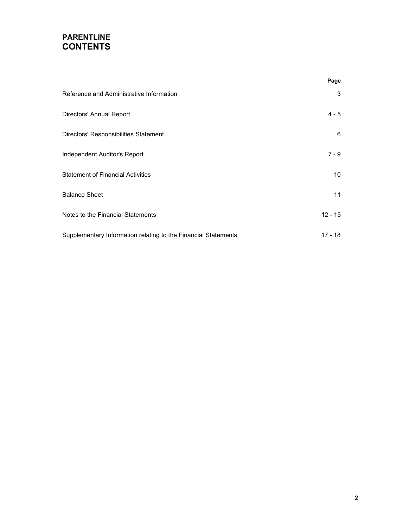# PARENTLINE **CONTENTS**

|                                                                | Page            |
|----------------------------------------------------------------|-----------------|
| Reference and Administrative Information                       | 3               |
| Directors' Annual Report                                       | $4 - 5$         |
| Directors' Responsibilities Statement                          | 6               |
| Independent Auditor's Report                                   | $7 - 9$         |
| <b>Statement of Financial Activities</b>                       | 10 <sup>°</sup> |
| <b>Balance Sheet</b>                                           | 11              |
| Notes to the Financial Statements                              | $12 - 15$       |
| Supplementary Information relating to the Financial Statements | 17 - 18         |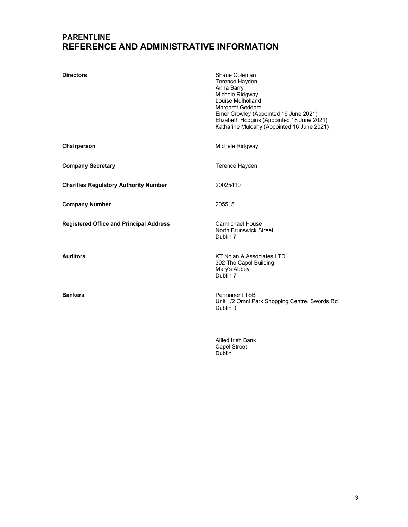# PARENTLINE REFERENCE AND ADMINISTRATIVE INFORMATION

| <b>Directors</b>                               | Shane Coleman<br>Terence Hayden<br>Anna Barry<br>Michele Ridgway<br>Louise Mulholland<br><b>Margaret Goddard</b><br>Emer Crowley (Appointed 16 June 2021)<br>Elizabeth Hodgins (Appointed 16 June 2021)<br>Katharine Mulcahy (Appointed 16 June 2021) |
|------------------------------------------------|-------------------------------------------------------------------------------------------------------------------------------------------------------------------------------------------------------------------------------------------------------|
| Chairperson                                    | Michele Ridgway                                                                                                                                                                                                                                       |
| <b>Company Secretary</b>                       | Terence Hayden                                                                                                                                                                                                                                        |
| <b>Charities Regulatory Authority Number</b>   | 20025410                                                                                                                                                                                                                                              |
| <b>Company Number</b>                          | 205515                                                                                                                                                                                                                                                |
| <b>Registered Office and Principal Address</b> | <b>Carmichael House</b><br>North Brunswick Street<br>Dublin 7                                                                                                                                                                                         |
| <b>Auditors</b>                                | KT Nolan & Associates LTD<br>302 The Capel Building<br>Mary's Abbey<br>Dublin 7                                                                                                                                                                       |
| <b>Bankers</b>                                 | <b>Permanent TSB</b><br>Unit 1/2 Omni Park Shopping Centre, Swords Rd<br>Dublin 9                                                                                                                                                                     |
|                                                | Allied Irish Bank                                                                                                                                                                                                                                     |

Capel Street Dublin 1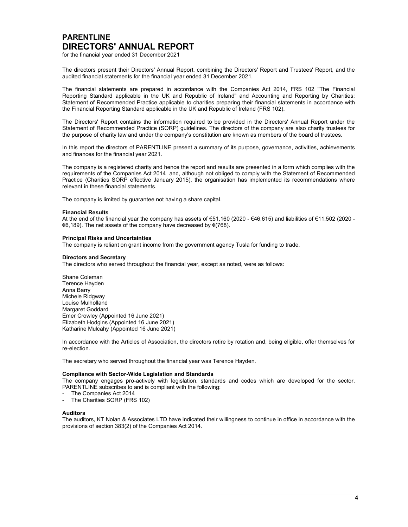# PARENTLINE DIRECTORS' ANNUAL REPORT

for the financial year ended 31 December 2021

The directors present their Directors' Annual Report, combining the Directors' Report and Trustees' Report, and the audited financial statements for the financial year ended 31 December 2021.

The financial statements are prepared in accordance with the Companies Act 2014, FRS 102 "The Financial Reporting Standard applicable in the UK and Republic of Ireland" and Accounting and Reporting by Charities: Statement of Recommended Practice applicable to charities preparing their financial statements in accordance with the Financial Reporting Standard applicable in the UK and Republic of Ireland (FRS 102).

The Directors' Report contains the information required to be provided in the Directors' Annual Report under the Statement of Recommended Practice (SORP) guidelines. The directors of the company are also charity trustees for the purpose of charity law and under the company's constitution are known as members of the board of trustees.

In this report the directors of PARENTLINE present a summary of its purpose, governance, activities, achievements and finances for the financial year 2021.

The company is a registered charity and hence the report and results are presented in a form which complies with the requirements of the Companies Act 2014 and, although not obliged to comply with the Statement of Recommended Practice (Charities SORP effective January 2015), the organisation has implemented its recommendations where relevant in these financial statements.

The company is limited by guarantee not having a share capital.

#### Financial Results

At the end of the financial year the company has assets of €51,160 (2020 - €46,615) and liabilities of €11,502 (2020 - €6,189). The net assets of the company have decreased by €(768).

#### Principal Risks and Uncertainties

The company is reliant on grant income from the government agency Tusla for funding to trade.

#### Directors and Secretary

The directors who served throughout the financial year, except as noted, were as follows:

Shane Coleman Terence Hayden Anna Barry Michele Ridgway Louise Mulholland Margaret Goddard Emer Crowley (Appointed 16 June 2021) Elizabeth Hodgins (Appointed 16 June 2021) Katharine Mulcahy (Appointed 16 June 2021)

In accordance with the Articles of Association, the directors retire by rotation and, being eligible, offer themselves for re-election.

The secretary who served throughout the financial year was Terence Hayden.

### Compliance with Sector-Wide Legislation and Standards

The company engages pro-actively with legislation, standards and codes which are developed for the sector. PARENTLINE subscribes to and is compliant with the following:

- The Companies Act 2014
- The Charities SORP (FRS 102)

#### Auditors

The auditors, KT Nolan & Associates LTD have indicated their willingness to continue in office in accordance with the provisions of section 383(2) of the Companies Act 2014.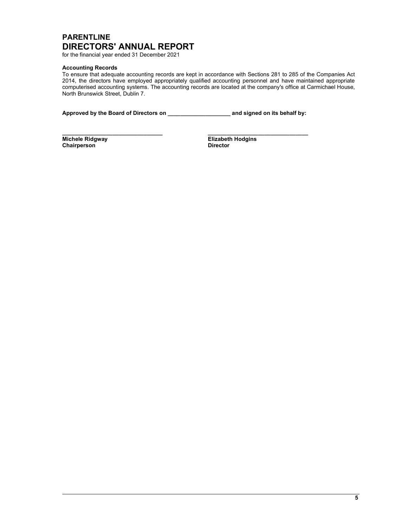# PARENTLINE DIRECTORS' ANNUAL REPORT

for the financial year ended 31 December 2021

### Accounting Records

To ensure that adequate accounting records are kept in accordance with Sections 281 to 285 of the Companies Act 2014, the directors have employed appropriately qualified accounting personnel and have maintained appropriate computerised accounting systems. The accounting records are located at the company's office at Carmichael House, North Brunswick Street, Dublin 7.

| Approved by the Board of Directors on | and signed on its behalf by: |  |
|---------------------------------------|------------------------------|--|
|                                       |                              |  |

Chairperson

\_\_\_\_\_\_\_\_\_\_\_\_\_\_\_\_\_\_\_\_\_\_\_\_\_\_\_\_\_\_\_\_ \_\_\_\_\_\_\_\_\_\_\_\_\_\_\_\_\_\_\_\_\_\_\_\_\_\_\_\_\_\_\_\_ Michele Ridgway **Elizabeth Hodgins**<br>
Chairperson **Elizabeth Hodgins**<br>
Director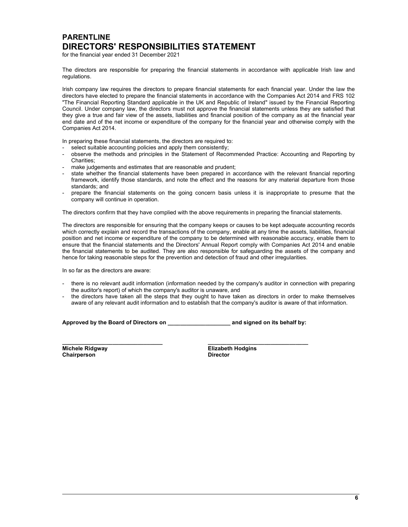# PARENTLINE DIRECTORS' RESPONSIBILITIES STATEMENT

for the financial year ended 31 December 2021

The directors are responsible for preparing the financial statements in accordance with applicable Irish law and regulations.

Irish company law requires the directors to prepare financial statements for each financial year. Under the law the directors have elected to prepare the financial statements in accordance with the Companies Act 2014 and FRS 102 "The Financial Reporting Standard applicable in the UK and Republic of Ireland" issued by the Financial Reporting Council. Under company law, the directors must not approve the financial statements unless they are satisfied that they give a true and fair view of the assets, liabilities and financial position of the company as at the financial year end date and of the net income or expenditure of the company for the financial year and otherwise comply with the Companies Act 2014.

In preparing these financial statements, the directors are required to:

- select suitable accounting policies and apply them consistently;
- observe the methods and principles in the Statement of Recommended Practice: Accounting and Reporting by Charities;
- make judgements and estimates that are reasonable and prudent;
- state whether the financial statements have been prepared in accordance with the relevant financial reporting framework, identify those standards, and note the effect and the reasons for any material departure from those standards; and
- prepare the financial statements on the going concern basis unless it is inappropriate to presume that the company will continue in operation.

The directors confirm that they have complied with the above requirements in preparing the financial statements.

The directors are responsible for ensuring that the company keeps or causes to be kept adequate accounting records which correctly explain and record the transactions of the company, enable at any time the assets, liabilities, financial position and net income or expenditure of the company to be determined with reasonable accuracy, enable them to ensure that the financial statements and the Directors' Annual Report comply with Companies Act 2014 and enable the financial statements to be audited. They are also responsible for safeguarding the assets of the company and hence for taking reasonable steps for the prevention and detection of fraud and other irregularities.

In so far as the directors are aware:

- there is no relevant audit information (information needed by the company's auditor in connection with preparing the auditor's report) of which the company's auditor is unaware, and
- the directors have taken all the steps that they ought to have taken as directors in order to make themselves aware of any relevant audit information and to establish that the company's auditor is aware of that information.

Approved by the Board of Directors on \_\_\_\_\_\_\_\_\_\_\_\_\_\_\_\_\_\_\_\_ and signed on its behalf by:

 $\frac{1}{2}$  ,  $\frac{1}{2}$  ,  $\frac{1}{2}$  ,  $\frac{1}{2}$  ,  $\frac{1}{2}$  ,  $\frac{1}{2}$  ,  $\frac{1}{2}$  ,  $\frac{1}{2}$  ,  $\frac{1}{2}$  ,  $\frac{1}{2}$  ,  $\frac{1}{2}$  ,  $\frac{1}{2}$  ,  $\frac{1}{2}$  ,  $\frac{1}{2}$  ,  $\frac{1}{2}$  ,  $\frac{1}{2}$  ,  $\frac{1}{2}$  ,  $\frac{1}{2}$  ,  $\frac{1$ 

Chairperson

Michele Ridgway **Elizabeth Hodgins**<br>
Chairperson<br>
Chairperson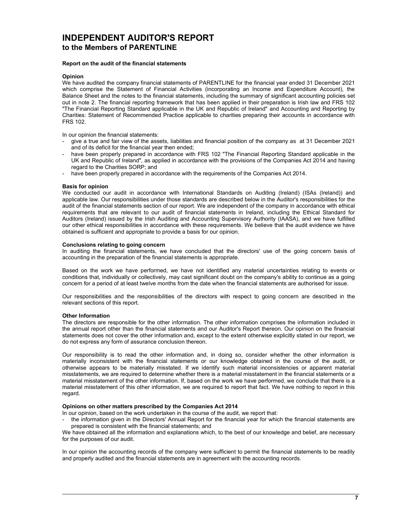# INDEPENDENT AUDITOR'S REPORT to the Members of PARENTLINE

#### Report on the audit of the financial statements

### **Opinion**

We have audited the company financial statements of PARENTLINE for the financial year ended 31 December 2021 which comprise the Statement of Financial Activities (incorporating an Income and Expenditure Account), the Balance Sheet and the notes to the financial statements, including the summary of significant accounting policies set out in note 2. The financial reporting framework that has been applied in their preparation is Irish law and FRS 102 "The Financial Reporting Standard applicable in the UK and Republic of Ireland" and Accounting and Reporting by Charities: Statement of Recommended Practice applicable to charities preparing their accounts in accordance with FRS 102.

In our opinion the financial statements:

- give a true and fair view of the assets, liabilities and financial position of the company as at 31 December 2021 and of its deficit for the financial year then ended;
- have been properly prepared in accordance with FRS 102 "The Financial Reporting Standard applicable in the UK and Republic of Ireland", as applied in accordance with the provisions of the Companies Act 2014 and having regard to the Charities SORP; and
- have been properly prepared in accordance with the requirements of the Companies Act 2014.

#### Basis for opinion

We conducted our audit in accordance with International Standards on Auditing (Ireland) (ISAs (Ireland)) and applicable law. Our responsibilities under those standards are described below in the Auditor's responsibilities for the audit of the financial statements section of our report. We are independent of the company in accordance with ethical requirements that are relevant to our audit of financial statements in Ireland, including the Ethical Standard for Auditors (Ireland) issued by the Irish Auditing and Accounting Supervisory Authority (IAASA), and we have fulfilled our other ethical responsibilities in accordance with these requirements. We believe that the audit evidence we have obtained is sufficient and appropriate to provide a basis for our opinion.

#### Conclusions relating to going concern

In auditing the financial statements, we have concluded that the directors' use of the going concern basis of accounting in the preparation of the financial statements is appropriate.

Based on the work we have performed, we have not identified any material uncertainties relating to events or conditions that, individually or collectively, may cast significant doubt on the company's ability to continue as a going concern for a period of at least twelve months from the date when the financial statements are authorised for issue.

Our responsibilities and the responsibilities of the directors with respect to going concern are described in the relevant sections of this report.

#### Other Information

The directors are responsible for the other information. The other information comprises the information included in the annual report other than the financial statements and our Auditor's Report thereon. Our opinion on the financial statements does not cover the other information and, except to the extent otherwise explicitly stated in our report, we do not express any form of assurance conclusion thereon.

Our responsibility is to read the other information and, in doing so, consider whether the other information is materially inconsistent with the financial statements or our knowledge obtained in the course of the audit, or otherwise appears to be materially misstated. If we identify such material inconsistencies or apparent material misstatements, we are required to determine whether there is a material misstatement in the financial statements or a material misstatement of the other information. If, based on the work we have performed, we conclude that there is a material misstatement of this other information, we are required to report that fact. We have nothing to report in this regard.

#### Opinions on other matters prescribed by the Companies Act 2014

In our opinion, based on the work undertaken in the course of the audit, we report that:

- the information given in the Directors' Annual Report for the financial year for which the financial statements are prepared is consistent with the financial statements; and

We have obtained all the information and explanations which, to the best of our knowledge and belief, are necessary for the purposes of our audit.

In our opinion the accounting records of the company were sufficient to permit the financial statements to be readily and properly audited and the financial statements are in agreement with the accounting records.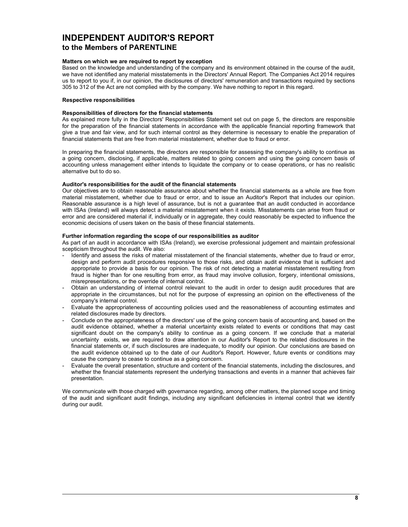# INDEPENDENT AUDITOR'S REPORT to the Members of PARENTLINE

### Matters on which we are required to report by exception

Based on the knowledge and understanding of the company and its environment obtained in the course of the audit, we have not identified any material misstatements in the Directors' Annual Report. The Companies Act 2014 requires us to report to you if, in our opinion, the disclosures of directors' remuneration and transactions required by sections 305 to 312 of the Act are not complied with by the company. We have nothing to report in this regard.

### Respective responsibilities

### Responsibilities of directors for the financial statements

As explained more fully in the Directors' Responsibilities Statement set out on page 5, the directors are responsible for the preparation of the financial statements in accordance with the applicable financial reporting framework that give a true and fair view, and for such internal control as they determine is necessary to enable the preparation of financial statements that are free from material misstatement, whether due to fraud or error.

In preparing the financial statements, the directors are responsible for assessing the company's ability to continue as a going concern, disclosing, if applicable, matters related to going concern and using the going concern basis of accounting unless management either intends to liquidate the company or to cease operations, or has no realistic alternative but to do so.

### Auditor's responsibilities for the audit of the financial statements

Our objectives are to obtain reasonable assurance about whether the financial statements as a whole are free from material misstatement, whether due to fraud or error, and to issue an Auditor's Report that includes our opinion. Reasonable assurance is a high level of assurance, but is not a guarantee that an audit conducted in accordance with ISAs (Ireland) will always detect a material misstatement when it exists. Misstatements can arise from fraud or error and are considered material if, individually or in aggregate, they could reasonably be expected to influence the economic decisions of users taken on the basis of these financial statements.

### Further information regarding the scope of our responsibilities as auditor

As part of an audit in accordance with ISAs (Ireland), we exercise professional judgement and maintain professional scepticism throughout the audit. We also:

- Identify and assess the risks of material misstatement of the financial statements, whether due to fraud or error, design and perform audit procedures responsive to those risks, and obtain audit evidence that is sufficient and appropriate to provide a basis for our opinion. The risk of not detecting a material misstatement resulting from fraud is higher than for one resulting from error, as fraud may involve collusion, forgery, intentional omissions, misrepresentations, or the override of internal control.
- Obtain an understanding of internal control relevant to the audit in order to design audit procedures that are appropriate in the circumstances, but not for the purpose of expressing an opinion on the effectiveness of the company's internal control.
- Evaluate the appropriateness of accounting policies used and the reasonableness of accounting estimates and related disclosures made by directors.
- Conclude on the appropriateness of the directors' use of the going concern basis of accounting and, based on the audit evidence obtained, whether a material uncertainty exists related to events or conditions that may cast significant doubt on the company's ability to continue as a going concern. If we conclude that a material uncertainty exists, we are required to draw attention in our Auditor's Report to the related disclosures in the financial statements or, if such disclosures are inadequate, to modify our opinion. Our conclusions are based on the audit evidence obtained up to the date of our Auditor's Report. However, future events or conditions may cause the company to cease to continue as a going concern.
- Evaluate the overall presentation, structure and content of the financial statements, including the disclosures, and whether the financial statements represent the underlying transactions and events in a manner that achieves fair presentation.

We communicate with those charged with governance regarding, among other matters, the planned scope and timing of the audit and significant audit findings, including any significant deficiencies in internal control that we identify during our audit.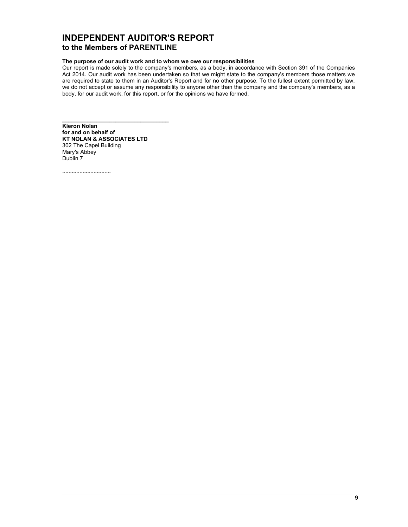# INDEPENDENT AUDITOR'S REPORT to the Members of PARENTLINE

### The purpose of our audit work and to whom we owe our responsibilities

Our report is made solely to the company's members, as a body, in accordance with Section 391 of the Companies Act 2014. Our audit work has been undertaken so that we might state to the company's members those matters we are required to state to them in an Auditor's Report and for no other purpose. To the fullest extent permitted by law, we do not accept or assume any responsibility to anyone other than the company and the company's members, as a body, for our audit work, for this report, or for the opinions we have formed.

Kieron Nolan for and on behalf of KT NOLAN & ASSOCIATES LTD 302 The Capel Building Mary's Abbey Dublin 7

 $\overline{\phantom{a}}$  , we can assume that the contract of  $\overline{\phantom{a}}$ 

...............................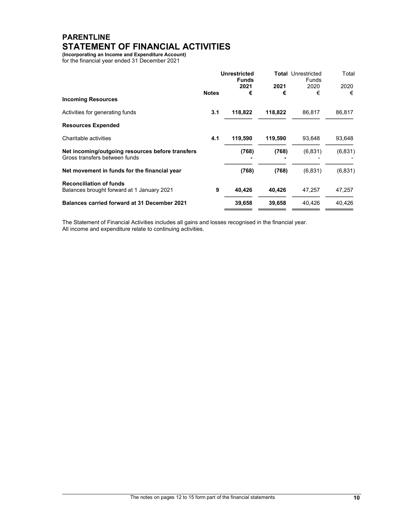# PARENTLINE STATEMENT OF FINANCIAL ACTIVITIES

(Incorporating an Income and Expenditure Account) for the financial year ended 31 December 2021

|                                                                                   |              | Unrestricted<br><b>Funds</b> |           | <b>Total Unrestricted</b><br>Funds | Total     |
|-----------------------------------------------------------------------------------|--------------|------------------------------|-----------|------------------------------------|-----------|
|                                                                                   | <b>Notes</b> | 2021<br>€                    | 2021<br>€ | 2020<br>€                          | 2020<br>€ |
| <b>Incoming Resources</b>                                                         |              |                              |           |                                    |           |
| Activities for generating funds                                                   | 3.1          | 118,822                      | 118,822   | 86,817                             | 86,817    |
| <b>Resources Expended</b>                                                         |              |                              |           |                                    |           |
| Charitable activities                                                             | 4.1          | 119,590                      | 119,590   | 93,648                             | 93,648    |
| Net incoming/outgoing resources before transfers<br>Gross transfers between funds |              | (768)                        | (768)     | (6,831)                            | (6,831)   |
| Net movement in funds for the financial year                                      |              | (768)                        | (768)     | (6,831)                            | (6,831)   |
| <b>Reconciliation of funds</b>                                                    |              |                              |           |                                    |           |
| Balances brought forward at 1 January 2021                                        | 9            | 40,426                       | 40,426    | 47,257                             | 47,257    |
| Balances carried forward at 31 December 2021                                      |              | 39,658                       | 39,658    | 40.426                             | 40,426    |

The Statement of Financial Activities includes all gains and losses recognised in the financial year. All income and expenditure relate to continuing activities.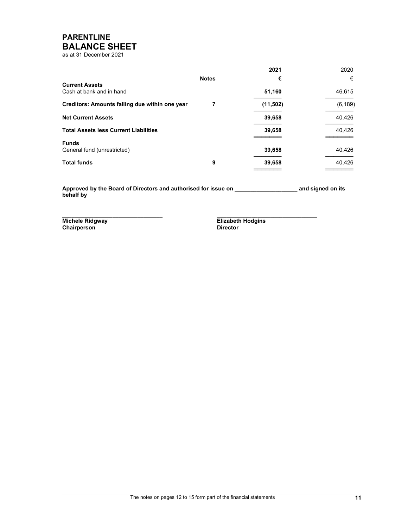## PARENTLINE BALANCE SHEET as at 31 December 2021

|                                                   |              | 2021      | 2020     |
|---------------------------------------------------|--------------|-----------|----------|
|                                                   | <b>Notes</b> | €         | €        |
| <b>Current Assets</b><br>Cash at bank and in hand |              | 51,160    | 46.615   |
| Creditors: Amounts falling due within one year    | 7            | (11, 502) | (6, 189) |
| <b>Net Current Assets</b>                         |              | 39,658    | 40,426   |
| <b>Total Assets less Current Liabilities</b>      |              | 39,658    | 40,426   |
| <b>Funds</b><br>General fund (unrestricted)       |              | 39,658    | 40,426   |
| <b>Total funds</b>                                | 9            | 39,658    | 40,426   |
|                                                   |              |           |          |

Approved by the Board of Directors and authorised for issue on \_\_\_\_\_\_\_\_\_\_\_\_\_\_\_\_\_\_\_\_\_\_\_ and signed on its behalf by

\_\_\_\_\_\_\_\_\_\_\_\_\_\_\_\_\_\_\_\_\_\_\_\_\_\_\_\_\_\_\_\_ \_\_\_\_\_\_\_\_\_\_\_\_\_\_\_\_\_\_\_\_\_\_\_\_\_\_\_\_\_\_\_\_

Michele Ridgway **Elizabeth Hodgins**<br>
Chairperson **Elizabeth Hodgins** Chairperson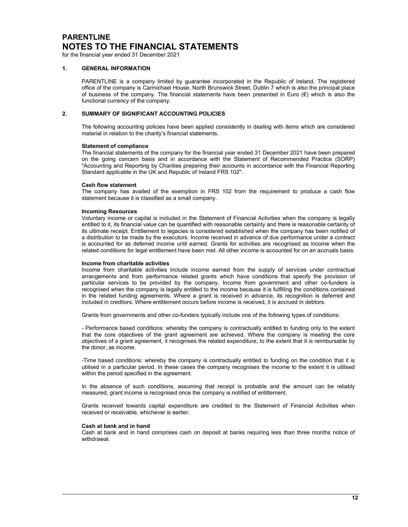# PARENTLINE NOTES TO THE FINANCIAL STATEMENTS

for the financial year ended 31 December 2021

### 1. GENERAL INFORMATION

PARENTLINE is a company limited by guarantee incorporated in the Republic of Ireland. The registered office of the company is Carmichael House, North Brunswick Street, Dublin 7 which is also the principal place of business of the company. The financial statements have been presented in Euro  $(\epsilon)$  which is also the functional currency of the company.

### 2. SUMMARY OF SIGNIFICANT ACCOUNTING POLICIES

The following accounting policies have been applied consistently in dealing with items which are considered material in relation to the charity's financial statements.

### Statement of compliance

 The financial statements of the company for the financial year ended 31 December 2021 have been prepared on the going concern basis and in accordance with the Statement of Recommended Practice (SORP) "Accounting and Reporting by Charities preparing their accounts in accordance with the Financial Reporting Standard applicable in the UK and Republic of Ireland FRS 102".

#### Cash flow statement

The company has availed of the exemption in FRS 102 from the requirement to produce a cash flow statement because it is classified as a small company.

#### Incoming Resources

Voluntary income or capital is included in the Statement of Financial Activities when the company is legally entitled to it, its financial value can be quantified with reasonable certainty and there is reasonable certainty of its ultimate receipt. Entitlement to legacies is considered established when the company has been notified of a distribution to be made by the executors. Income received in advance of due performance under a contract is accounted for as deferred income until earned. Grants for activities are recognised as income when the related conditions for legal entitlement have been met. All other income is accounted for on an accruals basis.

#### Income from charitable activities

 Income from charitable activities include income earned from the supply of services under contractual arrangements and from performance related grants which have conditions that specify the provision of particular services to be provided by the company. Income from government and other co-funders is recognised when the company is legally entitled to the income because it is fulfilling the conditions contained in the related funding agreements. Where a grant is received in advance, its recognition is deferred and included in creditors. Where entitlement occurs before income is received, it is accrued in debtors.

Grants from governments and other co-funders typically include one of the following types of conditions:

- Performance based conditions: whereby the company is contractually entitled to funding only to the extent that the core objectives of the grant agreement are achieved. Where the company is meeting the core objectives of a grant agreement, it recognises the related expenditure, to the extent that it is reimbursable by the donor, as income.

-Time based conditions: whereby the company is contractually entitled to funding on the condition that it is utilised in a particular period. In these cases the company recognises the income to the extent it is utilised within the period specified in the agreement.

In the absence of such conditions, assuming that receipt is probable and the amount can be reliably measured, grant income is recognised once the company is notified of entitlement.

Grants received towards capital expenditure are credited to the Statement of Financial Activities when received or receivable, whichever is earlier.

#### Cash at bank and in hand

Cash at bank and in hand comprises cash on deposit at banks requiring less than three months notice of withdrawal.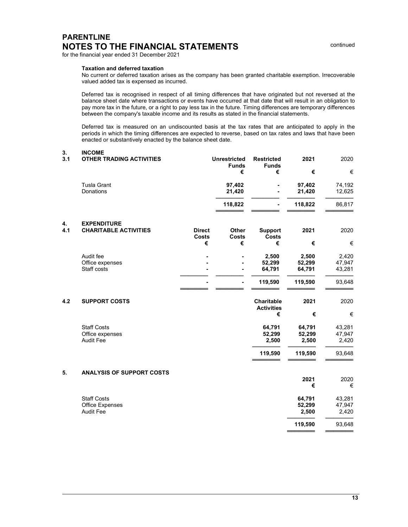# PARENTLINE **NOTES TO THE FINANCIAL STATEMENTS** continued

for the financial year ended 31 December 2021

#### Taxation and deferred taxation

No current or deferred taxation arises as the company has been granted charitable exemption. Irrecoverable valued added tax is expensed as incurred.

 Deferred tax is recognised in respect of all timing differences that have originated but not reversed at the balance sheet date where transactions or events have occurred at that date that will result in an obligation to pay more tax in the future, or a right to pay less tax in the future. Timing differences are temporary differences between the company's taxable income and its results as stated in the financial statements.

Deferred tax is measured on an undiscounted basis at the tax rates that are anticipated to apply in the periods in which the timing differences are expected to reverse, based on tax rates and laws that have been enacted or substantively enacted by the balance sheet date.

### 3. INCOME

| 3.1 | <b>OTHER TRADING ACTIVITIES</b>                           |                               | <b>Unrestricted</b><br><b>Funds</b> | <b>Restricted</b><br><b>Funds</b> | 2021<br>€                 | 2020<br>€                 |
|-----|-----------------------------------------------------------|-------------------------------|-------------------------------------|-----------------------------------|---------------------------|---------------------------|
|     |                                                           |                               | €                                   | €                                 |                           |                           |
|     | <b>Tusla Grant</b><br>Donations                           |                               | 97,402<br>21,420                    | ä,                                | 97,402<br>21,420          | 74,192<br>12,625          |
|     |                                                           |                               | 118,822                             |                                   | 118,822                   | 86,817                    |
| 4.  | <b>EXPENDITURE</b>                                        |                               |                                     |                                   |                           |                           |
| 4.1 | <b>CHARITABLE ACTIVITIES</b>                              | <b>Direct</b><br><b>Costs</b> | Other<br><b>Costs</b>               | <b>Support</b><br><b>Costs</b>    | 2021                      | 2020                      |
|     |                                                           | €                             | €                                   | €                                 | €                         | €                         |
|     | Audit fee                                                 |                               |                                     | 2,500                             | 2,500                     | 2,420                     |
|     | Office expenses<br>Staff costs                            |                               |                                     | 52,299<br>64,791                  | 52,299<br>64,791          | 47,947<br>43,281          |
|     |                                                           |                               |                                     | 119,590                           | 119,590                   | 93,648                    |
| 4.2 | <b>SUPPORT COSTS</b>                                      |                               |                                     | <b>Charitable</b>                 | 2021                      | 2020                      |
|     |                                                           |                               |                                     | <b>Activities</b><br>€            | €                         | €                         |
|     | <b>Staff Costs</b><br>Office expenses<br><b>Audit Fee</b> |                               |                                     | 64,791<br>52,299<br>2,500         | 64,791<br>52,299<br>2,500 | 43,281<br>47,947<br>2,420 |
|     |                                                           |                               |                                     | 119,590                           | 119,590                   | 93,648                    |
|     |                                                           |                               |                                     |                                   |                           |                           |
| 5.  | <b>ANALYSIS OF SUPPORT COSTS</b>                          |                               |                                     |                                   | 2021<br>€                 | 2020<br>€                 |
|     | <b>Staff Costs</b><br><b>Office Expenses</b>              |                               |                                     |                                   | 64,791<br>52,299          | 43,281<br>47,947          |
|     | <b>Audit Fee</b>                                          |                               |                                     |                                   | 2,500                     | 2,420                     |
|     |                                                           |                               |                                     |                                   | 119,590                   | 93,648                    |
|     |                                                           |                               |                                     |                                   |                           |                           |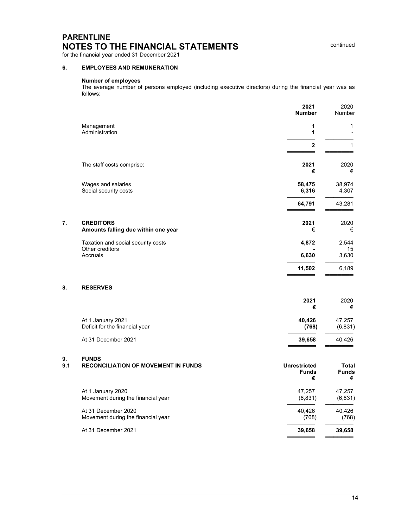# PARENTLINE NOTES TO THE FINANCIAL STATEMENTS **EXAMPLE STATE SETS** continued

for the financial year ended 31 December 2021

## 6. EMPLOYEES AND REMUNERATION

### Number of employees

The average number of persons employed (including executive directors) during the financial year was as follows:

|           |                                                            | 2021<br><b>Number</b>                    | 2020<br>Number                    |
|-----------|------------------------------------------------------------|------------------------------------------|-----------------------------------|
|           | Management<br>Administration                               | 1<br>1                                   | 1                                 |
|           |                                                            | 2                                        | $\mathbf{1}$                      |
|           |                                                            |                                          |                                   |
|           | The staff costs comprise:                                  | 2021<br>€                                | 2020<br>€                         |
|           | Wages and salaries<br>Social security costs                | 58,475<br>6,316                          | 38,974<br>4,307                   |
|           |                                                            | 64,791                                   | 43,281                            |
| 7.        | <b>CREDITORS</b><br>Amounts falling due within one year    | 2021<br>€                                | 2020<br>€                         |
|           | Taxation and social security costs<br>Other creditors      | 4,872                                    | 2,544                             |
|           | Accruals                                                   | 6,630                                    | 15<br>3,630                       |
|           |                                                            | 11,502                                   | 6,189                             |
| 8.        | <b>RESERVES</b>                                            |                                          |                                   |
|           |                                                            | 2021<br>€                                | 2020<br>€                         |
|           | At 1 January 2021<br>Deficit for the financial year        | 40,426<br>(768)                          | 47,257<br>(6,831)                 |
|           | At 31 December 2021                                        | 39,658                                   | 40,426                            |
| 9.<br>9.1 | <b>FUNDS</b><br><b>RECONCILIATION OF MOVEMENT IN FUNDS</b> | <b>Unrestricted</b><br><b>Funds</b><br>€ | <b>Total</b><br><b>Funds</b><br>€ |
|           | At 1 January 2020<br>Movement during the financial year    | 47,257<br>(6, 831)                       | 47,257<br>(6, 831)                |
|           | At 31 December 2020<br>Movement during the financial year  | 40,426<br>(768)                          | 40,426<br>(768)                   |
|           | At 31 December 2021                                        | 39,658                                   | 39,658                            |
|           |                                                            |                                          |                                   |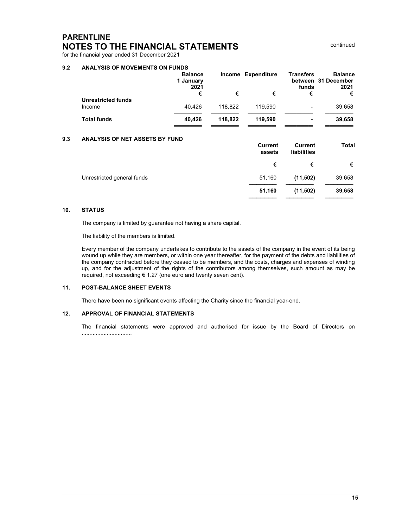# PARENTLINE **NOTES TO THE FINANCIAL STATEMENTS** continued

for the financial year ended 31 December 2021

## 9.2 ANALYSIS OF MOVEMENTS ON FUNDS

|                                     | <b>Balance</b><br>1 January<br>2021 |         | Income Expenditure | <b>Transfers</b><br>funds | <b>Balance</b><br>between 31 December<br>2021 |
|-------------------------------------|-------------------------------------|---------|--------------------|---------------------------|-----------------------------------------------|
|                                     | €                                   | €       | €                  | €                         | €                                             |
| <b>Unrestricted funds</b><br>Income | 40.426                              | 118.822 | 119.590            | ۰                         | 39,658                                        |
| <b>Total funds</b>                  | 40.426                              | 118.822 | 119.590            | ۰                         | 39,658                                        |

### 9.3 ANALYSIS OF NET ASSETS BY FUND

|                            | <b>Current</b><br>assets | Current<br>liabilities | <b>Total</b> |
|----------------------------|--------------------------|------------------------|--------------|
|                            | €                        | €                      | €            |
| Unrestricted general funds | 51,160                   | (11,502)               | 39,658       |
|                            | 51,160                   | (11, 502)              | 39,658       |

### 10. STATUS

The company is limited by guarantee not having a share capital.

The liability of the members is limited.

Every member of the company undertakes to contribute to the assets of the company in the event of its being wound up while they are members, or within one year thereafter, for the payment of the debts and liabilities of the company contracted before they ceased to be members, and the costs, charges and expenses of winding up, and for the adjustment of the rights of the contributors among themselves, such amount as may be required, not exceeding € 1.27 (one euro and twenty seven cent).

### 11. POST-BALANCE SHEET EVENTS

There have been no significant events affecting the Charity since the financial year-end.

### 12. APPROVAL OF FINANCIAL STATEMENTS

 The financial statements were approved and authorised for issue by the Board of Directors on ................................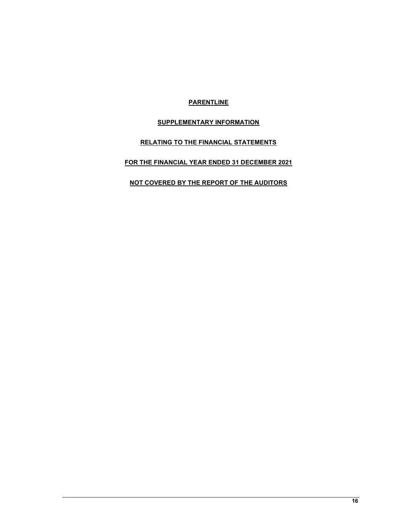# **PARENTLINE**

## SUPPLEMENTARY INFORMATION

## RELATING TO THE FINANCIAL STATEMENTS

## FOR THE FINANCIAL YEAR ENDED 31 DECEMBER 2021

NOT COVERED BY THE REPORT OF THE AUDITORS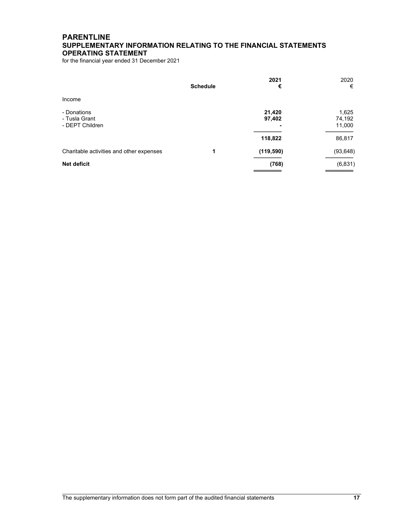## PARENTLINE SUPPLEMENTARY INFORMATION RELATING TO THE FINANCIAL STATEMENTS OPERATING STATEMENT

for the financial year ended 31 December 2021

|                                                 | <b>Schedule</b> | 2021<br>€        | 2020<br>€                 |
|-------------------------------------------------|-----------------|------------------|---------------------------|
| Income                                          |                 |                  |                           |
| - Donations<br>- Tusla Grant<br>- DEPT Children |                 | 21,420<br>97,402 | 1,625<br>74,192<br>11,000 |
|                                                 |                 | 118,822          | 86,817                    |
| Charitable activities and other expenses        | 1               | (119, 590)       | (93, 648)                 |
| <b>Net deficit</b>                              |                 | (768)            | (6, 831)                  |